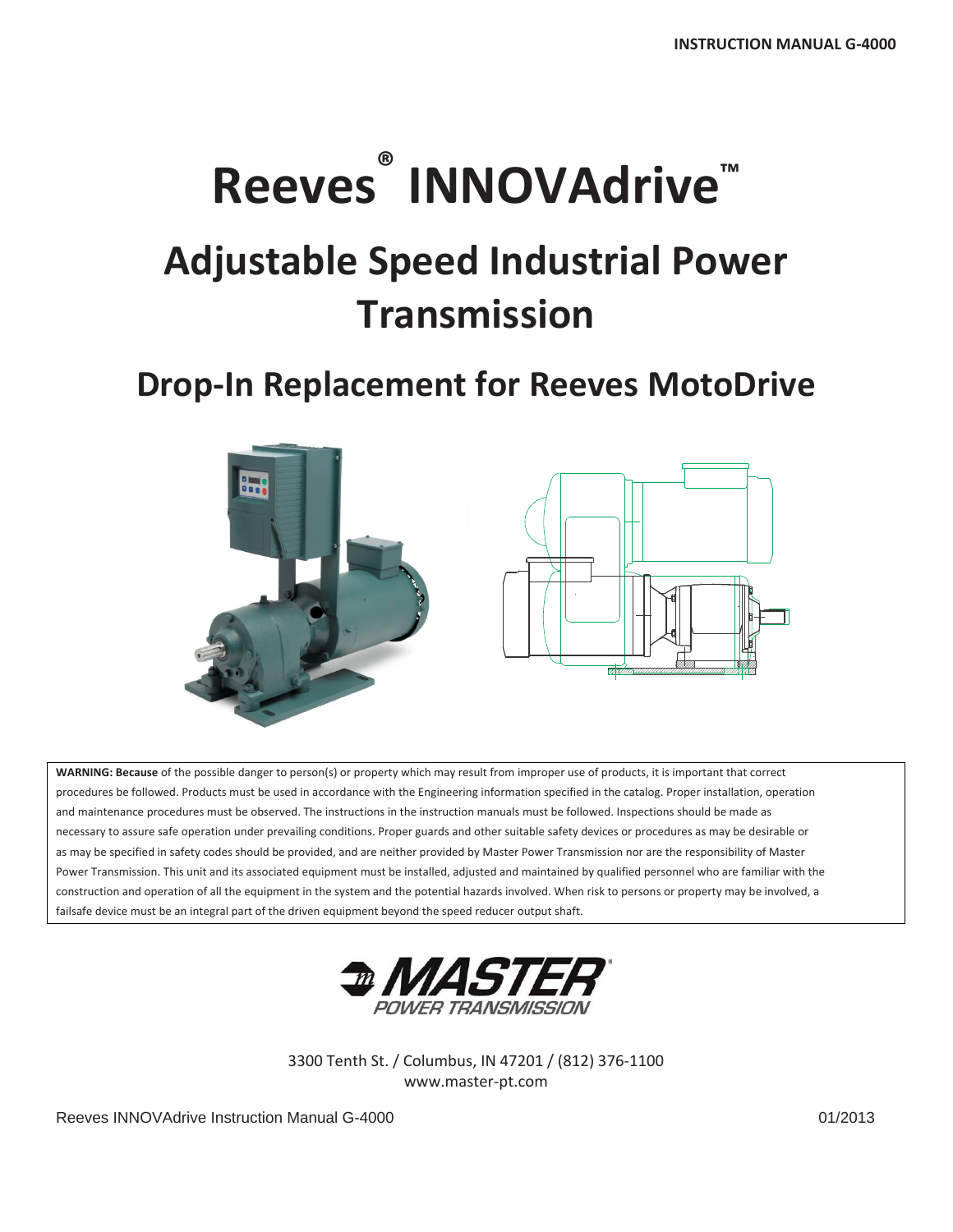# **Reeves ® INNOVAdrive™**

## **Adjustable Speed Industrial Power Transmission**

### **Drop‐In Replacement for Reeves MotoDrive**



**WARNING: Because** of the possible danger to person(s) or property which may result from improper use of products, it is important that correct procedures be followed. Products must be used in accordance with the Engineering information specified in the catalog. Proper installation, operation and maintenance procedures must be observed. The instructions in the instruction manuals must be followed. Inspections should be made as necessary to assure safe operation under prevailing conditions. Proper guards and other suitable safety devices or procedures as may be desirable or as may be specified in safety codes should be provided, and are neither provided by Master Power Transmission nor are the responsibility of Master Power Transmission. This unit and its associated equipment must be installed, adjusted and maintained by qualified personnel who are familiar with the construction and operation of all the equipment in the system and the potential hazards involved. When risk to persons or property may be involved, a failsafe device must be an integral part of the driven equipment beyond the speed reducer output shaft.



3300 Tenth St. / Columbus, IN 47201 / (812) 376‐1100 www.master‐pt.com

Reeves INNOVAdrive Instruction Manual G-4000 01/2013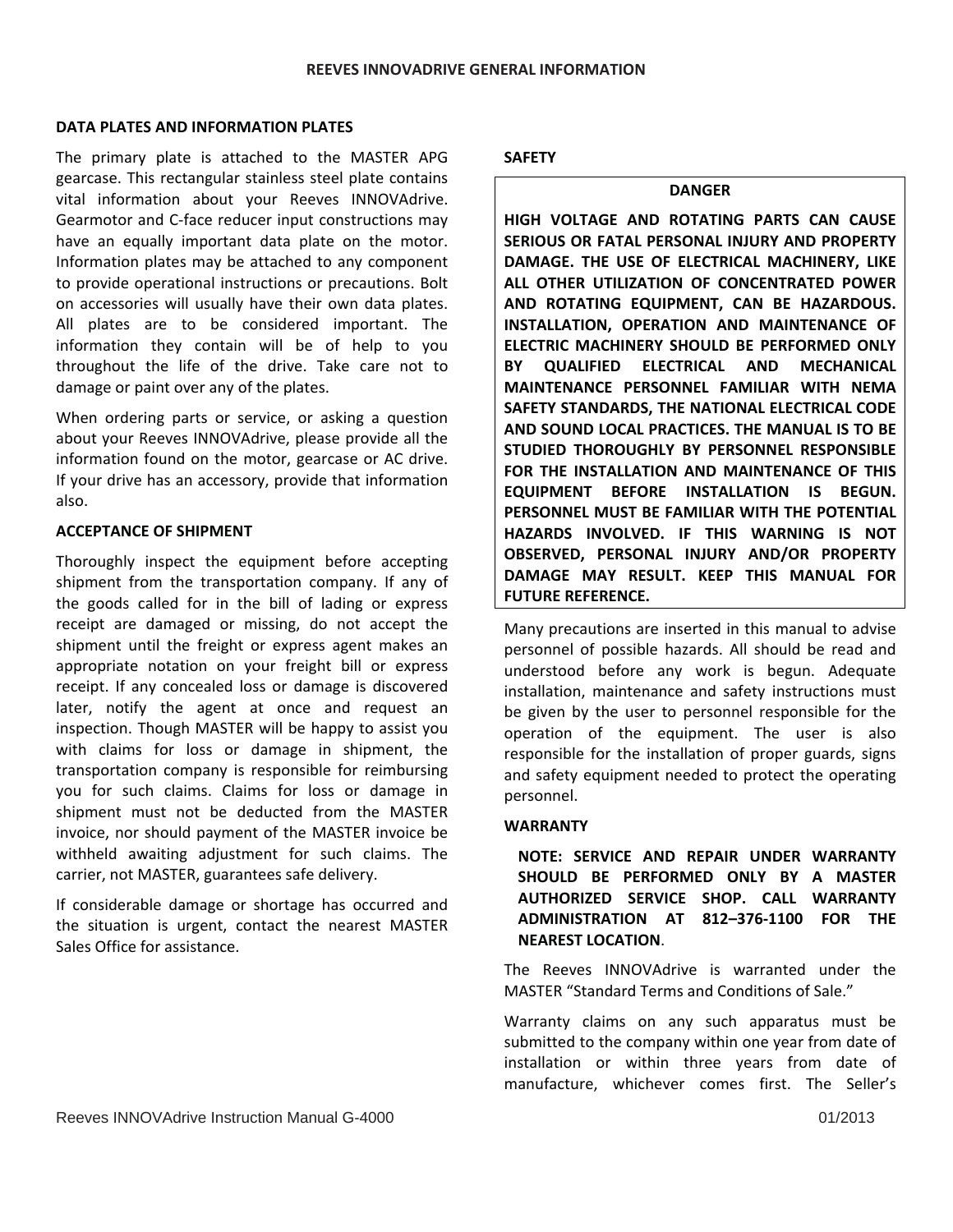#### **DATA PLATES AND INFORMATION PLATES**

The primary plate is attached to the MASTER APG gearcase. This rectangular stainless steel plate contains vital information about your Reeves INNOVAdrive. Gearmotor and C‐face reducer input constructions may have an equally important data plate on the motor. Information plates may be attached to any component to provide operational instructions or precautions. Bolt on accessories will usually have their own data plates. All plates are to be considered important. The information they contain will be of help to you throughout the life of the drive. Take care not to damage or paint over any of the plates.

When ordering parts or service, or asking a question about your Reeves INNOVAdrive, please provide all the information found on the motor, gearcase or AC drive. If your drive has an accessory, provide that information also.

#### **ACCEPTANCE OF SHIPMENT**

Thoroughly inspect the equipment before accepting shipment from the transportation company. If any of the goods called for in the bill of lading or express receipt are damaged or missing, do not accept the shipment until the freight or express agent makes an appropriate notation on your freight bill or express receipt. If any concealed loss or damage is discovered later, notify the agent at once and request an inspection. Though MASTER will be happy to assist you with claims for loss or damage in shipment, the transportation company is responsible for reimbursing you for such claims. Claims for loss or damage in shipment must not be deducted from the MASTER invoice, nor should payment of the MASTER invoice be withheld awaiting adjustment for such claims. The carrier, not MASTER, guarantees safe delivery.

If considerable damage or shortage has occurred and the situation is urgent, contact the nearest MASTER Sales Office for assistance.

#### **SAFETY**

#### **DANGER**

**HIGH VOLTAGE AND ROTATING PARTS CAN CAUSE SERIOUS OR FATAL PERSONAL INJURY AND PROPERTY DAMAGE. THE USE OF ELECTRICAL MACHINERY, LIKE ALL OTHER UTILIZATION OF CONCENTRATED POWER AND ROTATING EQUIPMENT, CAN BE HAZARDOUS. INSTALLATION, OPERATION AND MAINTENANCE OF ELECTRIC MACHINERY SHOULD BE PERFORMED ONLY BY QUALIFIED ELECTRICAL AND MECHANICAL MAINTENANCE PERSONNEL FAMILIAR WITH NEMA SAFETY STANDARDS, THE NATIONAL ELECTRICAL CODE AND SOUND LOCAL PRACTICES. THE MANUAL IS TO BE STUDIED THOROUGHLY BY PERSONNEL RESPONSIBLE FOR THE INSTALLATION AND MAINTENANCE OF THIS EQUIPMENT BEFORE INSTALLATION IS BEGUN. PERSONNEL MUST BE FAMILIAR WITH THE POTENTIAL HAZARDS INVOLVED. IF THIS WARNING IS NOT OBSERVED, PERSONAL INJURY AND/OR PROPERTY DAMAGE MAY RESULT. KEEP THIS MANUAL FOR FUTURE REFERENCE.**

Many precautions are inserted in this manual to advise personnel of possible hazards. All should be read and understood before any work is begun. Adequate installation, maintenance and safety instructions must be given by the user to personnel responsible for the operation of the equipment. The user is also responsible for the installation of proper guards, signs and safety equipment needed to protect the operating personnel.

#### **WARRANTY**

**NOTE: SERVICE AND REPAIR UNDER WARRANTY SHOULD BE PERFORMED ONLY BY A MASTER AUTHORIZED SERVICE SHOP. CALL WARRANTY ADMINISTRATION AT 812–376‐1100 FOR THE NEAREST LOCATION**.

The Reeves INNOVAdrive is warranted under the MASTER "Standard Terms and Conditions of Sale."

Warranty claims on any such apparatus must be submitted to the company within one year from date of installation or within three years from date of manufacture, whichever comes first. The Seller's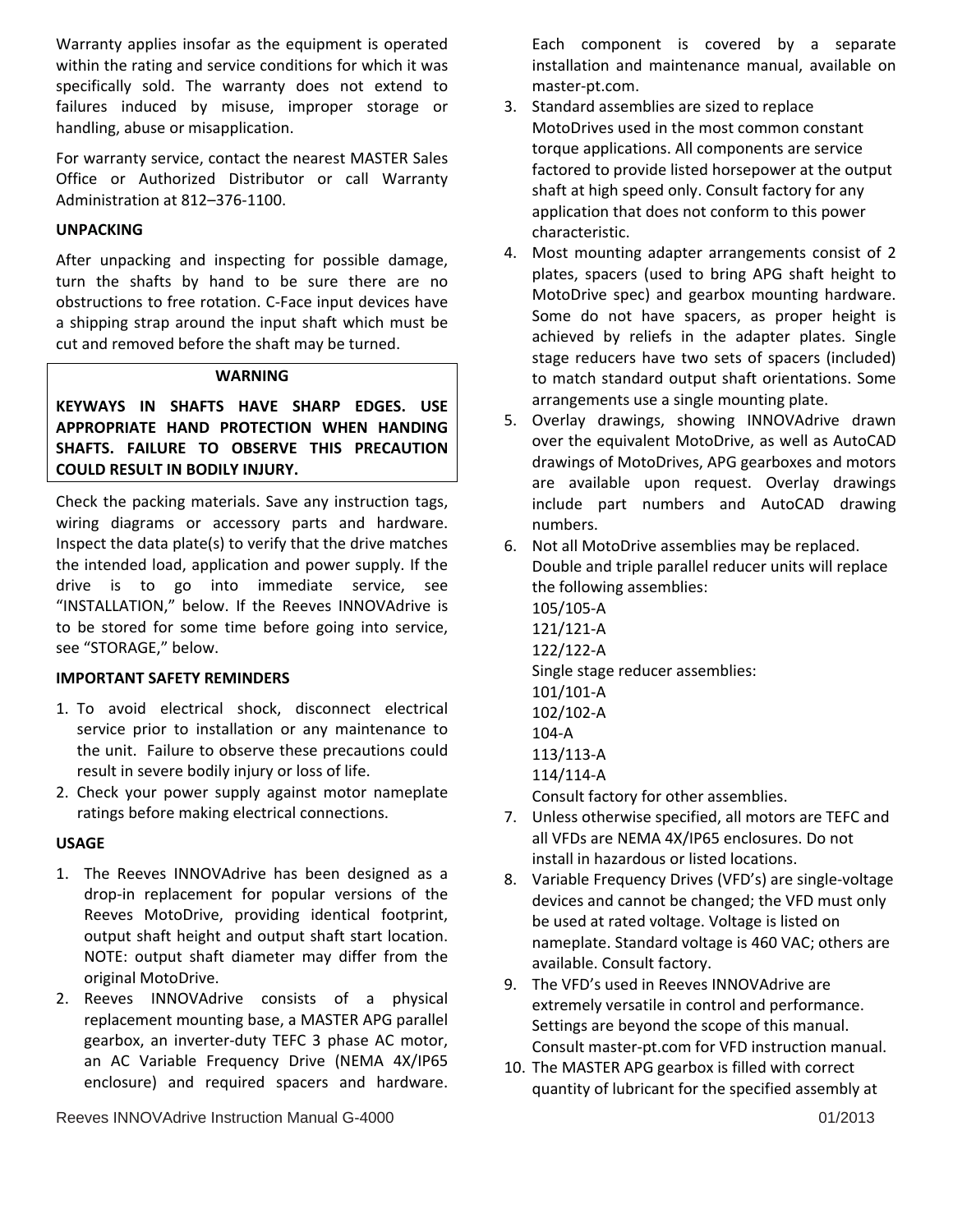Warranty applies insofar as the equipment is operated within the rating and service conditions for which it was specifically sold. The warranty does not extend to failures induced by misuse, improper storage or handling, abuse or misapplication.

For warranty service, contact the nearest MASTER Sales Office or Authorized Distributor or call Warranty Administration at 812–376‐1100.

#### **UNPACKING**

After unpacking and inspecting for possible damage, turn the shafts by hand to be sure there are no obstructions to free rotation. C‐Face input devices have a shipping strap around the input shaft which must be cut and removed before the shaft may be turned.

#### **WARNING**

**KEYWAYS IN SHAFTS HAVE SHARP EDGES. USE APPROPRIATE HAND PROTECTION WHEN HANDING SHAFTS. FAILURE TO OBSERVE THIS PRECAUTION COULD RESULT IN BODILY INJURY.**

Check the packing materials. Save any instruction tags, wiring diagrams or accessory parts and hardware. Inspect the data plate(s) to verify that the drive matches the intended load, application and power supply. If the drive is to go into immediate service, see "INSTALLATION," below. If the Reeves INNOVAdrive is to be stored for some time before going into service, see "STORAGE," below.

#### **IMPORTANT SAFETY REMINDERS**

- 1. To avoid electrical shock, disconnect electrical service prior to installation or any maintenance to the unit. Failure to observe these precautions could result in severe bodily injury or loss of life.
- 2. Check your power supply against motor nameplate ratings before making electrical connections.

#### **USAGE**

- 1. The Reeves INNOVAdrive has been designed as a drop‐in replacement for popular versions of the Reeves MotoDrive, providing identical footprint, output shaft height and output shaft start location. NOTE: output shaft diameter may differ from the original MotoDrive.
- 2. Reeves INNOVAdrive consists of a physical replacement mounting base, a MASTER APG parallel gearbox, an inverter‐duty TEFC 3 phase AC motor, an AC Variable Frequency Drive (NEMA 4X/IP65 enclosure) and required spacers and hardware.

Reeves INNOVAdrive Instruction Manual G-4000 01/2013

Each component is covered by a separate installation and maintenance manual, available on master‐pt.com.

- 3. Standard assemblies are sized to replace MotoDrives used in the most common constant torque applications. All components are service factored to provide listed horsepower at the output shaft at high speed only. Consult factory for any application that does not conform to this power characteristic.
- 4. Most mounting adapter arrangements consist of 2 plates, spacers (used to bring APG shaft height to MotoDrive spec) and gearbox mounting hardware. Some do not have spacers, as proper height is achieved by reliefs in the adapter plates. Single stage reducers have two sets of spacers (included) to match standard output shaft orientations. Some arrangements use a single mounting plate.
- 5. Overlay drawings, showing INNOVAdrive drawn over the equivalent MotoDrive, as well as AutoCAD drawings of MotoDrives, APG gearboxes and motors are available upon request. Overlay drawings include part numbers and AutoCAD drawing numbers.
- 6. Not all MotoDrive assemblies may be replaced. Double and triple parallel reducer units will replace the following assemblies: 105/105‐A 121/121‐A 122/122‐A Single stage reducer assemblies: 101/101‐A 102/102‐A 104‐A 113/113‐A 114/114‐A

Consult factory for other assemblies.

- 7. Unless otherwise specified, all motors are TEFC and all VFDs are NEMA 4X/IP65 enclosures. Do not install in hazardous or listed locations.
- 8. Variable Frequency Drives (VFD's) are single‐voltage devices and cannot be changed; the VFD must only be used at rated voltage. Voltage is listed on nameplate. Standard voltage is 460 VAC; others are available. Consult factory.
- 9. The VFD's used in Reeves INNOVAdrive are extremely versatile in control and performance. Settings are beyond the scope of this manual. Consult master‐pt.com for VFD instruction manual.
- 10. The MASTER APG gearbox is filled with correct quantity of lubricant for the specified assembly at